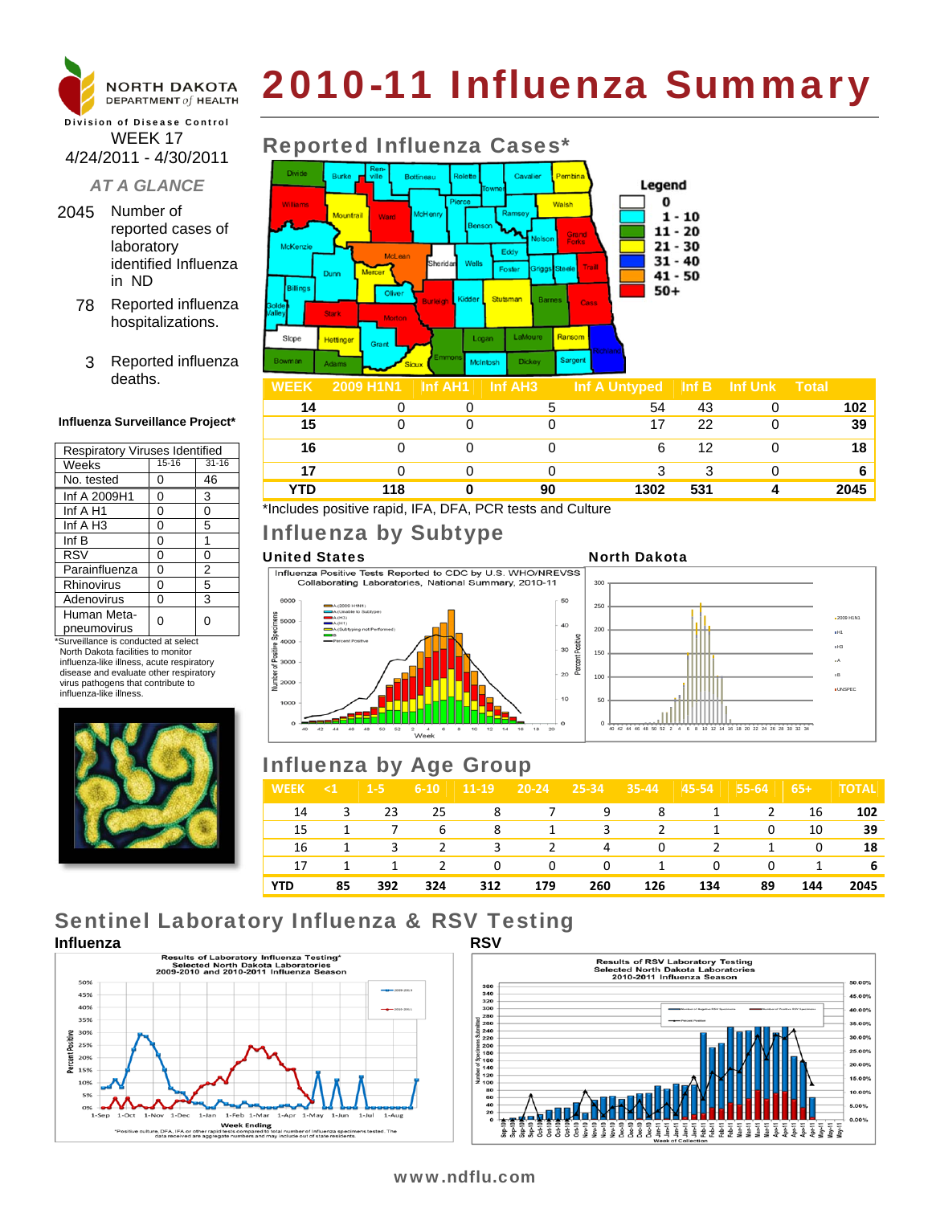

#### Division of Disease Control WEEK 17 4/24/2011 - 4/30/2011

### *AT A GLANCE*

- 2045 Number of reported cases of laboratory identified Influenza in ND
	- 78 Reported influenza hospitalizations.
	- 3 Reported influenza deaths.

#### **Influenza Surveillance Project\***

| <b>Respiratory Viruses Identified</b> |           |           |  |  |  |  |
|---------------------------------------|-----------|-----------|--|--|--|--|
| Weeks                                 | $15 - 16$ | $31 - 16$ |  |  |  |  |
| No. tested                            | ი         | 46        |  |  |  |  |
| Inf A 2009H1                          | 0         | 3         |  |  |  |  |
| Inf A H1                              | 0         | 0         |  |  |  |  |
| Inf $A$ H <sub>3</sub>                | 0         | 5         |  |  |  |  |
| Inf B                                 | 0         | 1         |  |  |  |  |
| <b>RSV</b>                            | 0         | 0         |  |  |  |  |
| Parainfluenza                         | 0         | 2         |  |  |  |  |
| Rhinovirus                            | 0         | 5         |  |  |  |  |
| Adenovirus                            | 0         | 3         |  |  |  |  |
| Human Meta-<br>pneumovirus            | ი         | O         |  |  |  |  |

\*Surveillance is conducted at select North Dakota facilities to monitor influenza-like illness, acute respiratory disease and evaluate other respiratory virus pathogens that contribute to influenza-like illness.



# 2010-11 Influenza Summary

#### Reported Influenza Cases\* Cavali Legend  $\bf{0}$ Walsh Moun  $1 - 10$  $11 - 20$ Grand<br>Forks  $21 - 30$ McKenz Eddy  $31 - 40$ **Foster**  $41 - 50$ **Silling**  $50+$ Stark Ranson Slope Hettinge Logar Sarcen

| <b>WEEK</b> | 2009 H1N1 | Inf AH1 | Inf AH <sub>3</sub> | Inf A Untyped | Inf B | <b>Inf Unk</b> | <b>Total</b> |
|-------------|-----------|---------|---------------------|---------------|-------|----------------|--------------|
| 14          |           |         |                     | 54            | 43    |                | 102          |
| 15          |           |         |                     | 17            | 22    |                | 39           |
| 16          |           |         |                     | 6             | 12    |                | 18           |
|             |           |         |                     |               | 3     |                | 6            |
| YTD         | 118       |         | 90                  | 1302          | 531   |                | 2045         |

\*Includes positive rapid, IFA, DFA, PCR tests and Culture

### Influenza by Subtype

United States<br>
Influenza Positive Tests Reported to CDC by U.S. WHO/NREVSS<br>
Collaborating Laboratories, National Summary, 2010-11







### Influenza by Age Group

| <b>WEEK</b> | $\leq 1$ | $1 - 5$ | $6 - 10$ | 11-19    | $120-24$ | $25 - 34$ | $35-44$ | 45-54 | 55-64 | $65+$ | <b>TOTAL</b> |
|-------------|----------|---------|----------|----------|----------|-----------|---------|-------|-------|-------|--------------|
| 14          | 3        | 23      | 25       | 8        | 7        | 9         | 8       |       | 2     | 16    | 102          |
| 15          |          |         | 6        | -8       |          | 3         | 2       |       | 0     | 10    | 39           |
| 16          | 1        | 3       | 2        | 3        | 2        | 4         | 0       | 2     | 1     | 0     | 18           |
| 17          |          | 1       | 2        | $\Omega$ | 0        | 0         | -1      | 0     | 0     |       | 6            |
| YTD         | 85       | 392     | 324      | 312      | 179      | 260       | 126     | 134   | 89    | 144   | 2045         |

## Sentinel Laboratory Influenza & RSV Testing





### www.ndflu.com